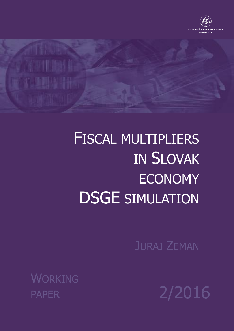

# FISCAL MULTIPLIERS IN SLOVAK ECONOMY DSGE SIMULATION

JURAJ ZEMAN

**WORKING** 

PAPER 2/2016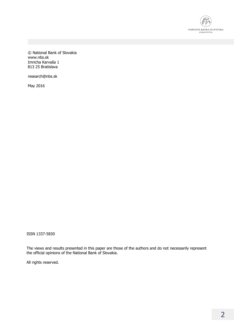

© National Bank of Slovakia www.nbs.sk Imricha Karvaša 1 813 25 Bratislava

research@nbs.sk

May 2016

ISSN 1337-5830

The views and results presented in this paper are those of the authors and do not necessarily represent the official opinions of the National Bank of Slovakia.

All rights reserved.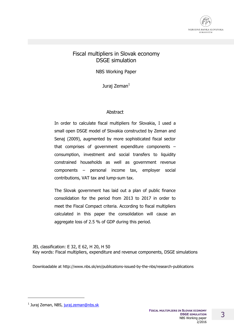

#### Fiscal multipliers in Slovak economy DSGE simulation

NBS Working Paper

Jurai Zeman $<sup>1</sup>$ </sup>

#### Abstract

In order to calculate fiscal multipliers for Slovakia, I used a small open DSGE model of Slovakia constructed by Zeman and Senaj (2009), augmented by more sophisticated fiscal sector that comprises of government expenditure components – consumption, investment and social transfers to liquidity constrained households as well as government revenue components – personal income tax, employer social contributions, VAT tax and lump-sum tax.

The Slovak government has laid out a plan of public finance consolidation for the period from 2013 to 2017 in order to meet the Fiscal Compact criteria. According to fiscal multipliers calculated in this paper the consolidation will cause an aggregate loss of 2.5 % of GDP during this period.

JEL classification: E 32, E 62, H 20, H 50 Key words: Fiscal multipliers, expenditure and revenue components, DSGE simulations

Downloadable at http://www.nbs.sk/en/publications-issued-by-the-nbs/research-publications

<sup>&</sup>lt;sup>1</sup> Juraj Zeman, NBS, <u>juraj.zeman@nbs.sk</u>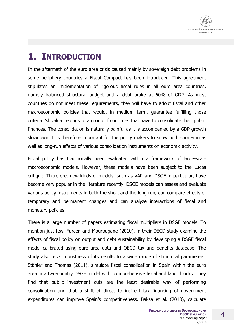

# **1. INTRODUCTION**

In the aftermath of the euro area crisis caused mainly by sovereign debt problems in some periphery countries a Fiscal Compact has been introduced. This agreement stipulates an implementation of rigorous fiscal rules in all euro area countries, namely balanced structural budget and a debt brake at 60% of GDP. As most countries do not meet these requirements, they will have to adopt fiscal and other macroeconomic policies that would, in medium term, guarantee fulfilling those criteria. Slovakia belongs to a group of countries that have to consolidate their public finances. The consolidation is naturally painful as it is accompanied by a GDP growth slowdown. It is therefore important for the policy makers to know both short-run as well as long-run effects of various consolidation instruments on economic activity.

Fiscal policy has traditionally been evaluated within a framework of large-scale macroeconomic models. However, these models have been subject to the Lucas critique. Therefore, new kinds of models, such as VAR and DSGE in particular, have become very popular in the literature recently. DSGE models can assess and evaluate various policy instruments in both the short and the long run, can compare effects of temporary and permanent changes and can analyze interactions of fiscal and monetary policies.

There is a large number of papers estimating fiscal multipliers in DSGE models. To mention just few, Furceri and Mourougane (2010), in their OECD study examine the effects of fiscal policy on output and debt sustainability by developing a DSGE fiscal model calibrated using euro area data and OECD tax and benefits database. The study also tests robustness of its results to a wide range of structural parameters. Stähler and Thomas (2011), simulate fiscal consolidation in Spain within the euro area in a two-country DSGE model with comprehensive fiscal and labor blocks. They find that public investment cuts are the least desirable way of performing consolidation and that a shift of direct to indirect tax financing of government expenditures can improve Spain's competitiveness. Baksa et al. (2010), calculate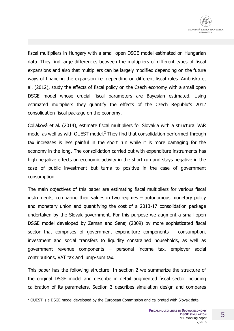

fiscal multipliers in Hungary with a small open DSGE model estimated on Hungarian data. They find large differences between the multipliers of different types of fiscal expansions and also that multipliers can be largely modified depending on the future ways of financing the expansion i.e. depending on different fiscal rules. Ambrisko et al. (2012), study the effects of fiscal policy on the Czech economy with a small open DSGE model whose crucial fiscal parameters are Bayesian estimated. Using estimated multipliers they quantify the effects of the Czech Republic's 2012 consolidation fiscal package on the economy.

Čolláková et al. (2014), estimate fiscal multipliers for Slovakia with a structural VAR model as well as with QUEST model. $^2$  They find that consolidation performed through tax increases is less painful in the short run while it is more damaging for the economy in the long. The consolidation carried out with expenditure instruments has high negative effects on economic activity in the short run and stays negative in the case of public investment but turns to positive in the case of government consumption.

The main objectives of this paper are estimating fiscal multipliers for various fiscal instruments, comparing their values in two regimes – autonomous monetary policy and monetary union and quantifying the cost of a 2013-17 consolidation package undertaken by the Slovak government. For this purpose we augment a small open DSGE model developed by Zeman and Senaj (2009) by more sophisticated fiscal sector that comprises of government expenditure components – consumption, investment and social transfers to liquidity constrained households, as well as government revenue components – personal income tax, employer social contributions, VAT tax and lump-sum tax.

This paper has the following structure. In section 2 we summarize the structure of the original DSGE model and describe in detail augmented fiscal sector including calibration of its parameters. Section 3 describes simulation design and compares

 $2$  OUEST is a DSGE model developed by the European Commission and calibrated with Slovak data.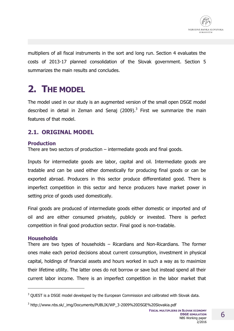

multipliers of all fiscal instruments in the sort and long run. Section 4 evaluates the costs of 2013-17 planned consolidation of the Slovak government. Section 5 summarizes the main results and concludes.

## **2. THE MODEL**

The model used in our study is an augmented version of the small open DSGE model described in detail in Zeman and Senaj (2009).<sup>3</sup> First we summarize the main features of that model.

## **2.1. ORIGINAL MODEL**

#### **Production**

There are two sectors of production – intermediate goods and final goods.

Inputs for intermediate goods are labor, capital and oil. Intermediate goods are tradable and can be used either domestically for producing final goods or can be exported abroad. Producers in this sector produce differentiated good. There is imperfect competition in this sector and hence producers have market power in setting price of goods used domestically.

Final goods are produced of intermediate goods either domestic or imported and of oil and are either consumed privately, publicly or invested. There is perfect competition in final good production sector. Final good is non-tradable.

#### **Households**

 $\overline{a}$ 

There are two types of households – Ricardians and Non-Ricardians. The former ones make each period decisions about current consumption, investment in physical capital, holdings of financial assets and hours worked in such a way as to maximize their lifetime utility. The latter ones do not borrow or save but instead spend all their current labor income. There is an imperfect competition in the labor market that

 $3$  QUEST is a DSGE model developed by the European Commission and calibrated with Slovak data.

<sup>&</sup>lt;sup>3</sup> http://www.nbs.sk/\_img/Documents/PUBLIK/WP\_3-2009%20DSGE%20Slovakia.pdf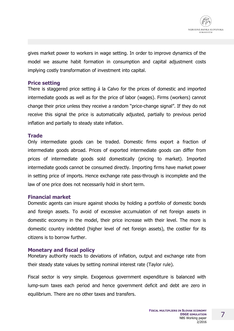

gives market power to workers in wage setting. In order to improve dynamics of the model we assume habit formation in consumption and capital adjustment costs implying costly transformation of investment into capital.

#### **Price setting**

There is staggered price setting á la Calvo for the prices of domestic and imported intermediate goods as well as for the price of labor (wages). Firms (workers) cannot change their price unless they receive a random "price-change signal". If they do not receive this signal the price is automatically adjusted, partially to previous period inflation and partially to steady state inflation.

#### **Trade**

Only intermediate goods can be traded. Domestic firms export a fraction of intermediate goods abroad. Prices of exported intermediate goods can differ from prices of intermediate goods sold domestically (pricing to market). Imported intermediate goods cannot be consumed directly. Importing firms have market power in setting price of imports. Hence exchange rate pass-through is incomplete and the law of one price does not necessarily hold in short term.

#### **Financial market**

Domestic agents can insure against shocks by holding a portfolio of domestic bonds and foreign assets. To avoid of excessive accumulation of net foreign assets in domestic economy in the model, their price increase with their level. The more is domestic country indebted (higher level of net foreign assets), the costlier for its citizens is to borrow further.

#### **Monetary and fiscal policy**

Monetary authority reacts to deviations of inflation, output and exchange rate from their steady state values by setting nominal interest rate (Taylor rule).

Fiscal sector is very simple. Exogenous government expenditure is balanced with lump-sum taxes each period and hence government deficit and debt are zero in equilibrium. There are no other taxes and transfers.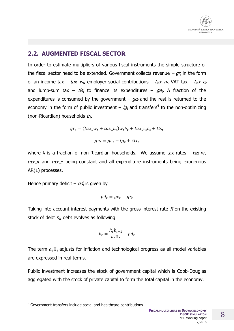## **2.2. AUGMENTED FISCAL SECTOR**

In order to estimate multipliers of various fiscal instruments the simple structure of the fiscal sector need to be extended. Government collects revenue  $-gr_t$  in the form of an income tax –  $tax_{-}w_{t}$ , employer social contributions –  $tax_{-}n_{t}$ , VAT tax –  $tax_{-}c_{t}$ and lump-sum tax –  $t/s_t$  to finance its expenditures –  $ge_t$ . A fraction of the expenditures is consumed by the government –  $q_c$  and the rest is returned to the economy in the form of public investment  $-$  *ig*<sub>t</sub> and transfers<sup>4</sup> to the non-optimizing (non-Ricardian) households  $tr_t$ .

$$
gr_t = (tax_-w_t + tax_-n_t)w_th_t + tax_-c_tc_t + tls_t
$$

$$
ge_t = gc_t + ig_t + \lambda tr_t
$$

where  $\lambda$  is a fraction of non-Ricardian households. We assume tax rates – tax w,  $tax_in$  and  $tax_to$  being constant and all expenditure instruments being exogenous AR(1) processes.

Hence primary deficit – pd<sub>t</sub> is given by

$$
pd_t = ge_t - gr_t
$$

Taking into account interest payments with the gross interest rate  $R$  on the existing stock of debt  $b_t$ , debt evolves as following

$$
b_t = \frac{R_t b_{t-1}}{a_t \Pi_t} + p d_t
$$

The term  $a_t$   $\Pi_t$  adjusts for inflation and technological progress as all model variables are expressed in real terms.

Public investment increases the stock of government capital which is Cobb-Douglas aggregated with the stock of private capital to form the total capital in the economy.

<sup>4</sup> Government transfers include social and healthcare contributions.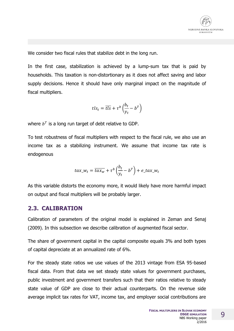

We consider two fiscal rules that stabilize debt in the long run.

In the first case, stabilization is achieved by a lump-sum tax that is paid by households. This taxation is non-distortionary as it does not affect saving and labor supply decisions. Hence it should have only marginal impact on the magnitude of fiscal multipliers.

$$
tls_t = \overline{tls} + \tau^b \left(\frac{b_t}{y_t} - b^T\right)
$$

where  $b^T$  is a long run target of debt relative to GDP.

To test robustness of fiscal multipliers with respect to the fiscal rule, we also use an income tax as a stabilizing instrument. We assume that income tax rate is endogenous

$$
tax\_w_t = \overline{tax_w} + \tau^b\left(\frac{b_t}{y_t} - b^T\right) + e\_tax\_w_t
$$

As this variable distorts the economy more, it would likely have more harmful impact on output and fiscal multipliers will be probably larger.

#### **2.3. CALIBRATION**

Calibration of parameters of the original model is explained in Zeman and Senaj (2009). In this subsection we describe calibration of augmented fiscal sector.

The share of government capital in the capital composite equals 3% and both types of capital depreciate at an annualized rate of 6%.

For the steady state ratios we use values of the 2013 vintage from ESA 95-based fiscal data. From that data we set steady state values for government purchases, public investment and government transfers such that their ratios relative to steady state value of GDP are close to their actual counterparts. On the revenue side average implicit tax rates for VAT, income tax, and employer social contributions are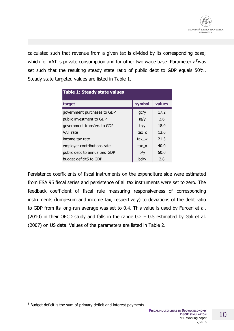

calculated such that revenue from a given tax is divided by its corresponding base; which for VAT is private consumption and for other two wage base. Parameter  $b^T$ was set such that the resulting steady state ratio of public debt to GDP equals 50%. Steady state targeted values are listed in Table 1.

| <b>Table 1: Steady state values</b> |        |        |  |  |  |  |  |
|-------------------------------------|--------|--------|--|--|--|--|--|
| target                              | symbol | values |  |  |  |  |  |
| government purchases to GDP         | gc/y   | 17.2   |  |  |  |  |  |
| public investment to GDP            | ig/y   | 2.6    |  |  |  |  |  |
| government transfers to GDP         | tr/y   | 18.9   |  |  |  |  |  |
| VAT rate                            | tax c  | 13.6   |  |  |  |  |  |
| income tax rate                     | tax w  | 21.3   |  |  |  |  |  |
| employer contributions rate         | tax n  | 40.0   |  |  |  |  |  |
| public debt to annualized GDP       | b/y    | 50.0   |  |  |  |  |  |
| budget deficit5 to GDP              | bd/y   | 2.8    |  |  |  |  |  |

Persistence coefficients of fiscal instruments on the expenditure side were estimated from ESA 95 fiscal series and persistence of all tax instruments were set to zero. The feedback coefficient of fiscal rule measuring responsiveness of corresponding instruments (lump-sum and income tax, respectively) to deviations of the debt ratio to GDP from its long-run average was set to 0.4. This value is used by Furceri et al. (2010) in their OECD study and falls in the range  $0.2 - 0.5$  estimated by Gali et al. (2007) on US data. Values of the parameters are listed in Table 2.

 $<sup>5</sup>$  Budget deficit is the sum of primary deficit and interest payments.</sup>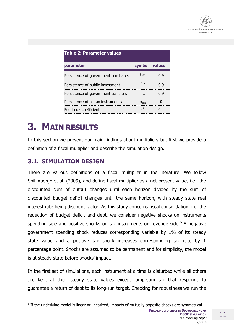

| <b>Table 2: Parameter values</b>    |                                  |               |  |  |  |  |
|-------------------------------------|----------------------------------|---------------|--|--|--|--|
| parameter                           | svmbol                           | <b>values</b> |  |  |  |  |
| Persistence of government purchases | $\rho_{\rm gc}$                  |               |  |  |  |  |
| Persistence of public investment    | $\mathsf{p}_{\mathsf{i}\varrho}$ | Ո Գ           |  |  |  |  |
| Persistence of government transfers | D+۲                              | በ ዓ           |  |  |  |  |
| Persistence of all tax instruments  | $\rho_{\text{tav}}$              |               |  |  |  |  |
| Feedback coefficient                |                                  |               |  |  |  |  |

# **3. MAIN RESULTS**

In this section we present our main findings about multipliers but first we provide a definition of a fiscal multiplier and describe the simulation design.

## **3.1. SIMULATION DESIGN**

j

There are various definitions of a fiscal multiplier in the literature. We follow Spilimbergo et al. (2009), and define fiscal multiplier as a net present value, i.e., the discounted sum of output changes until each horizon divided by the sum of discounted budget deficit changes until the same horizon, with steady state real interest rate being discount factor. As this study concerns fiscal consolidation, i.e. the reduction of budget deficit and debt, we consider negative shocks on instruments spending side and positive shocks on tax instruments on revenue side.<sup>6</sup> A negative government spending shock reduces corresponding variable by 1% of its steady state value and a positive tax shock increases corresponding tax rate by 1 percentage point. Shocks are assumed to be permanent and for simplicity, the model is at steady state before shocks' impact.

In the first set of simulations, each instrument at a time is disturbed while all others are kept at their steady state values except lump-sum tax that responds to guarantee a return of debt to its long-run target. Checking for robustness we run the

 $<sup>6</sup>$  If the underlying model is linear or linearized, impacts of mutually opposite shocks are symmetrical</sup>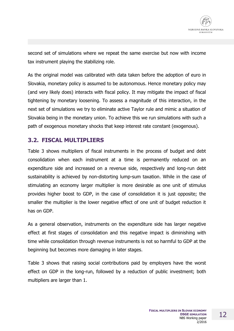

second set of simulations where we repeat the same exercise but now with income tax instrument playing the stabilizing role.

As the original model was calibrated with data taken before the adoption of euro in Slovakia, monetary policy is assumed to be autonomous. Hence monetary policy may (and very likely does) interacts with fiscal policy. It may mitigate the impact of fiscal tightening by monetary loosening. To assess a magnitude of this interaction, in the next set of simulations we try to eliminate active Taylor rule and mimic a situation of Slovakia being in the monetary union. To achieve this we run simulations with such a path of exogenous monetary shocks that keep interest rate constant (exogenous).

### **3.2. FISCAL MULTIPLIERS**

Table 3 shows multipliers of fiscal instruments in the process of budget and debt consolidation when each instrument at a time is permanently reduced on an expenditure side and increased on a revenue side, respectively and long-run debt sustainability is achieved by non-distorting lump-sum taxation. While in the case of stimulating an economy larger multiplier is more desirable as one unit of stimulus provides higher boost to GDP, in the case of consolidation it is just opposite; the smaller the multiplier is the lower negative effect of one unit of budget reduction it has on GDP.

As a general observation, instruments on the expenditure side has larger negative effect at first stages of consolidation and this negative impact is diminishing with time while consolidation through revenue instruments is not so harmful to GDP at the beginning but becomes more damaging in later stages.

Table 3 shows that raising social contributions paid by employers have the worst effect on GDP in the long-run, followed by a reduction of public investment; both multipliers are larger than 1.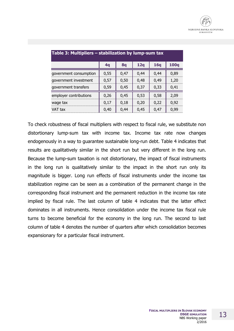

| Table 3: Multipliers – stabilization by lump-sum tax |      |      |      |      |             |  |  |  |
|------------------------------------------------------|------|------|------|------|-------------|--|--|--|
|                                                      | 4q   | 8q   | 12q  | 16q  | <b>100q</b> |  |  |  |
| government consumption                               | 0,55 | 0,47 | 0.44 | 0.44 | 0,89        |  |  |  |
| government investment                                | 0.57 | 0,50 | 0.48 | 0.49 | 1,20        |  |  |  |
| government transfers                                 | 0,59 | 0,45 | 0,37 | 0,33 | 0,41        |  |  |  |
| employer contributions                               | 0,26 | 0.45 | 0,53 | 0,58 | 2,09        |  |  |  |
| wage tax                                             | 0.17 | 0,18 | 0,20 | 0,22 | 0,92        |  |  |  |
| VAT tax                                              | 0,40 | 0,44 | 0,45 | 0.47 | 0.99        |  |  |  |

To check robustness of fiscal multipliers with respect to fiscal rule, we substitute non distortionary lump-sum tax with income tax. Income tax rate now changes endogenously in a way to guarantee sustainable long-run debt. Table 4 indicates that results are qualitatively similar in the short run but very different in the long run. Because the lump-sum taxation is not distortionary, the impact of fiscal instruments in the long run is qualitatively similar to the impact in the short run only its magnitude is bigger. Long run effects of fiscal instruments under the income tax stabilization regime can be seen as a combination of the permanent change in the corresponding fiscal instrument and the permanent reduction in the income tax rate implied by fiscal rule. The last column of table 4 indicates that the latter effect dominates in all instruments. Hence consolidation under the income tax fiscal rule turns to become beneficial for the economy in the long run. The second to last column of table 4 denotes the number of quarters after which consolidation becomes expansionary for a particular fiscal instrument.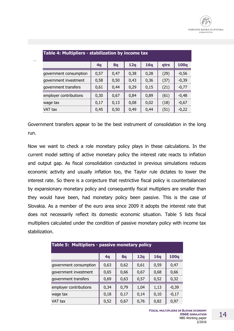| Table 4: Multipliers - stabilization by income tax |      |      |      |      |      |             |  |
|----------------------------------------------------|------|------|------|------|------|-------------|--|
|                                                    | 4q   | 8q   | 12q  | 16q  | qtrs | <b>100g</b> |  |
| government consumption                             | 0,57 | 0,47 | 0,38 | 0,28 | (29) | $-0.56$     |  |
| government investment                              | 0,58 | 0.50 | 0.43 | 0,36 | (37) | $-0,39$     |  |
| government transfers                               | 0,61 | 0.44 | 0,29 | 0,15 | (21) | $-0,77$     |  |
| employer contributions                             | 0,30 | 0,67 | 0,84 | 0.89 | (61) | $-0,48$     |  |
| wage tax                                           | 0.17 | 0.13 | 0.08 | 0.02 | (18) | $-0.67$     |  |
| VAT tax                                            | 0,45 | 0,50 | 0,49 | 0,44 | (51) | $-0.22$     |  |

Government transfers appear to be the best instrument of consolidation in the long run.

Now we want to check a role monetary policy plays in these calculations. In the current model setting of active monetary policy the interest rate reacts to inflation and output gap. As fiscal consolidation conducted in previous simulations reduces economic activity and usually inflation too, the Taylor rule dictates to lower the interest rate. So there is a conjecture that restrictive fiscal policy is counterbalanced by expansionary monetary policy and consequently fiscal multipliers are smaller than they would have been, had monetary policy been passive. This is the case of Slovakia. As a member of the euro area since 2009 it adopts the interest rate that does not necessarily reflect its domestic economic situation. Table 5 lists fiscal multipliers calculated under the condition of passive monetary policy with income tax stabilization.

| Table 5: Multipliers - passive monetary policy |      |      |      |      |             |  |  |  |
|------------------------------------------------|------|------|------|------|-------------|--|--|--|
|                                                | 4q   | 8q   | 12q  | 16q  | <b>100q</b> |  |  |  |
| government consumption                         | 0,63 | 0,62 | 0,61 | 0,59 | 0,47        |  |  |  |
| government investment                          | 0,65 | 0.66 | 0,67 | 0.68 | 0,66        |  |  |  |
| government transfers                           | 0,69 | 0,63 | 0,57 | 0,52 | 0,32        |  |  |  |
| employer contributions                         | 0,34 | 0,79 | 1,04 | 1,13 | $-0.39$     |  |  |  |
| wage tax                                       | 0,18 | 0,17 | 0,14 | 0.10 | $-0,17$     |  |  |  |
| VAT tax                                        | 0,52 | 0.67 | 0.76 | 0,82 | 0.97        |  |  |  |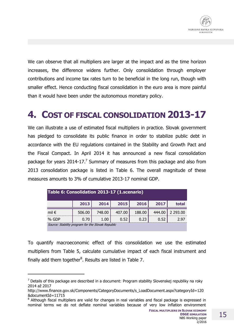We can observe that all multipliers are larger at the impact and as the time horizon increases, the difference widens further. Only consolidation through employer contributions and income tax rates turn to be beneficial in the long run, though with smaller effect. Hence conducting fiscal consolidation in the euro area is more painful than it would have been under the autonomous monetary policy.

# **4. COST OF FISCAL CONSOLIDATION 2013-17**

We can illustrate a use of estimated fiscal multipliers in practice. Slovak government has pledged to consolidate its public finance in order to stabilize public debt in accordance with the EU regulations contained in the Stability and Growth Pact and the Fiscal Compact. In April 2014 it has announced a new fiscal consolidation package for years 2014-17.<sup>7</sup> Summary of measures from this package and also from 2013 consolidation package is listed in Table 6. The overall magnitude of these measures amounts to 3% of cumulative 2013-17 nominal GDP.

| Table 6: Consolidation 2013-17 (1.scenario)       |        |        |        |        |        |          |  |
|---------------------------------------------------|--------|--------|--------|--------|--------|----------|--|
|                                                   | 2013   | 2014   | 2015   | 2016   | 2017   | total    |  |
| mil $\epsilon$                                    | 506.00 | 748.00 | 407.00 | 188.00 | 444.00 | 2 293.00 |  |
| % GDP                                             | 0.70   | 1.00   | 0.52   | 0.23   | 0.52   | 2.97     |  |
| Source: Stability program for the Slovak Republic |        |        |        |        |        |          |  |

To quantify macroeconomic effect of this consolidation we use the estimated multipliers from Table 5, calculate cumulative impact of each fiscal instrument and finally add them together<sup>8</sup>. Results are listed in Table 7.

 $<sup>7</sup>$  Details of this package are described in a document: Program stability Slovenskej republiky na roky</sup> 2014 až 2017

http://www.finance.gov.sk/Components/CategoryDocuments/s\_LoadDocument.aspx?categoryId=120 &documentId=11715

<sup>&</sup>lt;sup>8</sup> Although fiscal multipliers are valid for changes in real variables and fiscal package is expressed in nominal terms we do not deflate nominal variables because of very low inflation environment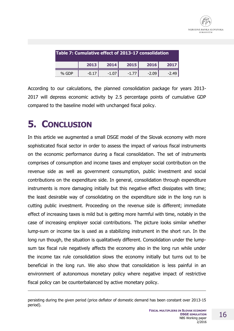

| Table 7: Cumulative effect of 2013-17 consolidation |         |      |      |         |         |  |  |
|-----------------------------------------------------|---------|------|------|---------|---------|--|--|
|                                                     | 2013    | 2014 | 2015 | 2016    | 2017    |  |  |
| % GDP                                               | $-0.17$ |      |      | $-2.09$ | $-2.49$ |  |  |

According to our calculations, the planned consolidation package for years 2013- 2017 will depress economic activity by 2.5 percentage points of cumulative GDP compared to the baseline model with unchanged fiscal policy.

# **5. CONCLUSION**

j

In this article we augmented a small DSGE model of the Slovak economy with more sophisticated fiscal sector in order to assess the impact of various fiscal instruments on the economic performance during a fiscal consolidation. The set of instruments comprises of consumption and income taxes and employer social contribution on the revenue side as well as government consumption, public investment and social contributions on the expenditure side. In general, consolidation through expenditure instruments is more damaging initially but this negative effect dissipates with time; the least desirable way of consolidating on the expenditure side in the long run is cutting public investment. Proceeding on the revenue side is different; immediate effect of increasing taxes is mild but is getting more harmful with time, notably in the case of increasing employer social contributions. The picture looks similar whether lump-sum or income tax is used as a stabilizing instrument in the short run. In the long run though, the situation is qualitatively different. Consolidation under the lumpsum tax fiscal rule negatively affects the economy also in the long run while under the income tax rule consolidation slows the economy initially but turns out to be beneficial in the long run. We also show that consolidation is less painful in an environment of autonomous monetary policy where negative impact of restrictive fiscal policy can be counterbalanced by active monetary policy.

persisting during the given period (price deflator of domestic demand has been constant over 2013-15 period).